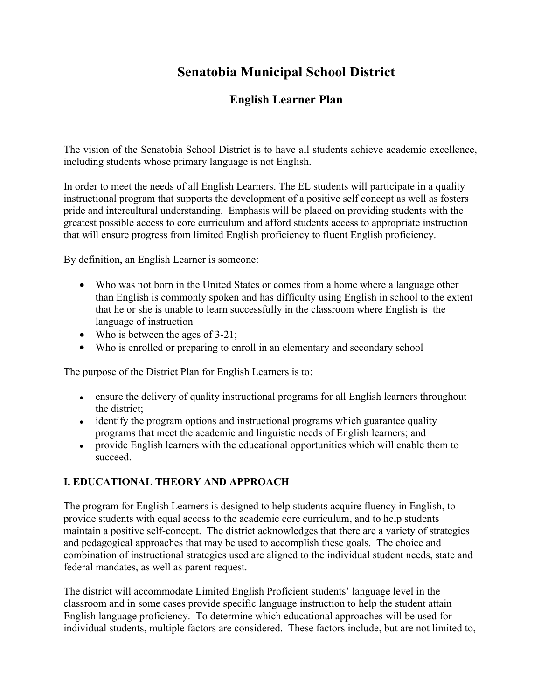# **Senatobia Municipal School District**

## **English Learner Plan**

The vision of the Senatobia School District is to have all students achieve academic excellence, including students whose primary language is not English.

In order to meet the needs of all English Learners. The EL students will participate in a quality instructional program that supports the development of a positive self concept as well as fosters pride and intercultural understanding. Emphasis will be placed on providing students with the greatest possible access to core curriculum and afford students access to appropriate instruction that will ensure progress from limited English proficiency to fluent English proficiency.

By definition, an English Learner is someone:

- Who was not born in the United States or comes from a home where a language other than English is commonly spoken and has difficulty using English in school to the extent that he or she is unable to learn successfully in the classroom where English is the language of instruction
- Who is between the ages of 3-21;
- Who is enrolled or preparing to enroll in an elementary and secondary school

The purpose of the District Plan for English Learners is to:

- ensure the delivery of quality instructional programs for all English learners throughout the district;
- identify the program options and instructional programs which guarantee quality programs that meet the academic and linguistic needs of English learners; and
- provide English learners with the educational opportunities which will enable them to succeed.

### **I. EDUCATIONAL THEORY AND APPROACH**

The program for English Learners is designed to help students acquire fluency in English, to provide students with equal access to the academic core curriculum, and to help students maintain a positive self-concept. The district acknowledges that there are a variety of strategies and pedagogical approaches that may be used to accomplish these goals. The choice and combination of instructional strategies used are aligned to the individual student needs, state and federal mandates, as well as parent request.

The district will accommodate Limited English Proficient students' language level in the classroom and in some cases provide specific language instruction to help the student attain English language proficiency. To determine which educational approaches will be used for individual students, multiple factors are considered. These factors include, but are not limited to,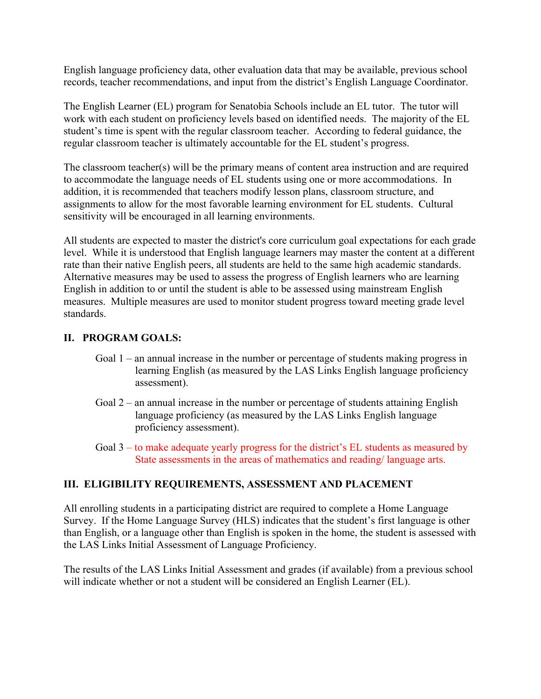English language proficiency data, other evaluation data that may be available, previous school records, teacher recommendations, and input from the district's English Language Coordinator.

The English Learner (EL) program for Senatobia Schools include an EL tutor. The tutor will work with each student on proficiency levels based on identified needs. The majority of the EL student's time is spent with the regular classroom teacher. According to federal guidance, the regular classroom teacher is ultimately accountable for the EL student's progress.

The classroom teacher(s) will be the primary means of content area instruction and are required to accommodate the language needs of EL students using one or more accommodations. In addition, it is recommended that teachers modify lesson plans, classroom structure, and assignments to allow for the most favorable learning environment for EL students. Cultural sensitivity will be encouraged in all learning environments.

All students are expected to master the district's core curriculum goal expectations for each grade level. While it is understood that English language learners may master the content at a different rate than their native English peers, all students are held to the same high academic standards. Alternative measures may be used to assess the progress of English learners who are learning English in addition to or until the student is able to be assessed using mainstream English measures. Multiple measures are used to monitor student progress toward meeting grade level standards.

#### **II. PROGRAM GOALS:**

- Goal 1 an annual increase in the number or percentage of students making progress in learning English (as measured by the LAS Links English language proficiency assessment).
- Goal 2 an annual increase in the number or percentage of students attaining English language proficiency (as measured by the LAS Links English language proficiency assessment).
- Goal 3 to make adequate yearly progress for the district's EL students as measured by State assessments in the areas of mathematics and reading/ language arts.

#### **III. ELIGIBILITY REQUIREMENTS, ASSESSMENT AND PLACEMENT**

All enrolling students in a participating district are required to complete a Home Language Survey. If the Home Language Survey (HLS) indicates that the student's first language is other than English, or a language other than English is spoken in the home, the student is assessed with the LAS Links Initial Assessment of Language Proficiency.

The results of the LAS Links Initial Assessment and grades (if available) from a previous school will indicate whether or not a student will be considered an English Learner (EL).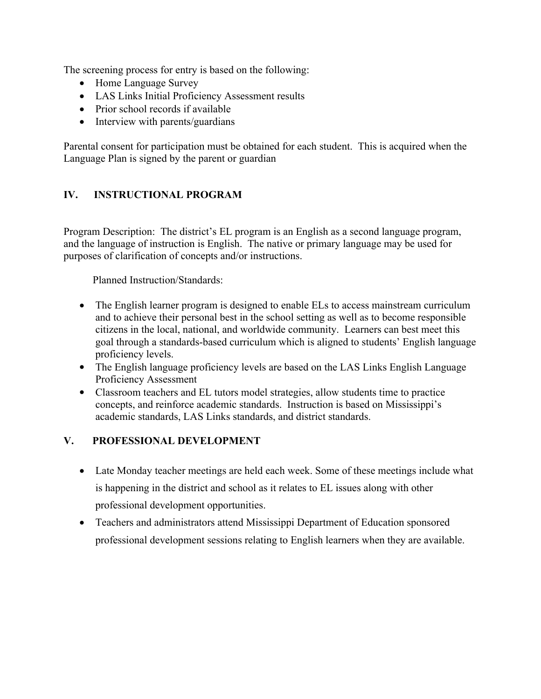The screening process for entry is based on the following:

- Home Language Survey
- LAS Links Initial Proficiency Assessment results
- Prior school records if available
- Interview with parents/guardians

Parental consent for participation must be obtained for each student. This is acquired when the Language Plan is signed by the parent or guardian

### **IV. INSTRUCTIONAL PROGRAM**

Program Description: The district's EL program is an English as a second language program, and the language of instruction is English. The native or primary language may be used for purposes of clarification of concepts and/or instructions.

Planned Instruction/Standards:

- The English learner program is designed to enable ELs to access mainstream curriculum and to achieve their personal best in the school setting as well as to become responsible citizens in the local, national, and worldwide community. Learners can best meet this goal through a standards-based curriculum which is aligned to students' English language proficiency levels.
- The English language proficiency levels are based on the LAS Links English Language Proficiency Assessment
- Classroom teachers and EL tutors model strategies, allow students time to practice concepts, and reinforce academic standards. Instruction is based on Mississippi's academic standards, LAS Links standards, and district standards.

#### **V. PROFESSIONAL DEVELOPMENT**

- Late Monday teacher meetings are held each week. Some of these meetings include what is happening in the district and school as it relates to EL issues along with other professional development opportunities.
- Teachers and administrators attend Mississippi Department of Education sponsored professional development sessions relating to English learners when they are available.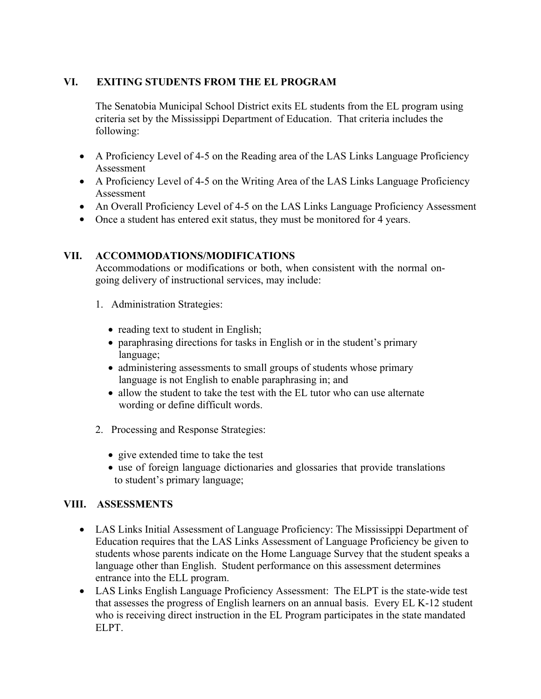### **VI. EXITING STUDENTS FROM THE EL PROGRAM**

The Senatobia Municipal School District exits EL students from the EL program using criteria set by the Mississippi Department of Education. That criteria includes the following:

- A Proficiency Level of 4-5 on the Reading area of the LAS Links Language Proficiency Assessment
- A Proficiency Level of 4-5 on the Writing Area of the LAS Links Language Proficiency Assessment
- An Overall Proficiency Level of 4-5 on the LAS Links Language Proficiency Assessment
- Once a student has entered exit status, they must be monitored for 4 years.

#### **VII. ACCOMMODATIONS/MODIFICATIONS**

Accommodations or modifications or both, when consistent with the normal ongoing delivery of instructional services, may include:

- 1. Administration Strategies:
	- reading text to student in English;
	- paraphrasing directions for tasks in English or in the student's primary language;
	- administering assessments to small groups of students whose primary language is not English to enable paraphrasing in; and
	- allow the student to take the test with the EL tutor who can use alternate wording or define difficult words.
- 2. Processing and Response Strategies:
	- give extended time to take the test
	- use of foreign language dictionaries and glossaries that provide translations to student's primary language;

#### **VIII. ASSESSMENTS**

- LAS Links Initial Assessment of Language Proficiency: The Mississippi Department of Education requires that the LAS Links Assessment of Language Proficiency be given to students whose parents indicate on the Home Language Survey that the student speaks a language other than English. Student performance on this assessment determines entrance into the ELL program.
- LAS Links English Language Proficiency Assessment: The ELPT is the state-wide test that assesses the progress of English learners on an annual basis. Every EL K-12 student who is receiving direct instruction in the EL Program participates in the state mandated ELPT.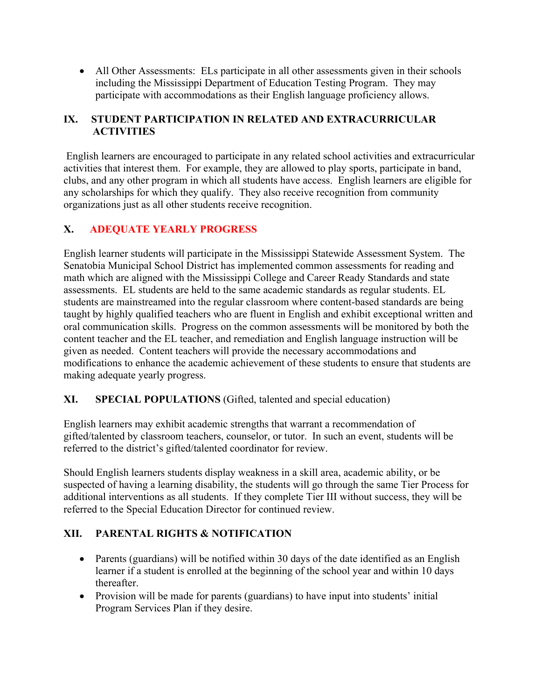• All Other Assessments: ELs participate in all other assessments given in their schools including the Mississippi Department of Education Testing Program. They may participate with accommodations as their English language proficiency allows.

#### **IX. STUDENT PARTICIPATION IN RELATED AND EXTRACURRICULAR ACTIVITIES**

 English learners are encouraged to participate in any related school activities and extracurricular activities that interest them. For example, they are allowed to play sports, participate in band, clubs, and any other program in which all students have access. English learners are eligible for any scholarships for which they qualify. They also receive recognition from community organizations just as all other students receive recognition.

### **X. ADEQUATE YEARLY PROGRESS**

English learner students will participate in the Mississippi Statewide Assessment System. The Senatobia Municipal School District has implemented common assessments for reading and math which are aligned with the Mississippi College and Career Ready Standards and state assessments. EL students are held to the same academic standards as regular students. EL students are mainstreamed into the regular classroom where content-based standards are being taught by highly qualified teachers who are fluent in English and exhibit exceptional written and oral communication skills. Progress on the common assessments will be monitored by both the content teacher and the EL teacher, and remediation and English language instruction will be given as needed. Content teachers will provide the necessary accommodations and modifications to enhance the academic achievement of these students to ensure that students are making adequate yearly progress.

#### **XI. SPECIAL POPULATIONS** (Gifted, talented and special education)

English learners may exhibit academic strengths that warrant a recommendation of gifted/talented by classroom teachers, counselor, or tutor. In such an event, students will be referred to the district's gifted/talented coordinator for review.

Should English learners students display weakness in a skill area, academic ability, or be suspected of having a learning disability, the students will go through the same Tier Process for additional interventions as all students. If they complete Tier III without success, they will be referred to the Special Education Director for continued review.

### **XII. PARENTAL RIGHTS & NOTIFICATION**

- Parents (guardians) will be notified within 30 days of the date identified as an English learner if a student is enrolled at the beginning of the school year and within 10 days thereafter.
- Provision will be made for parents (guardians) to have input into students' initial Program Services Plan if they desire.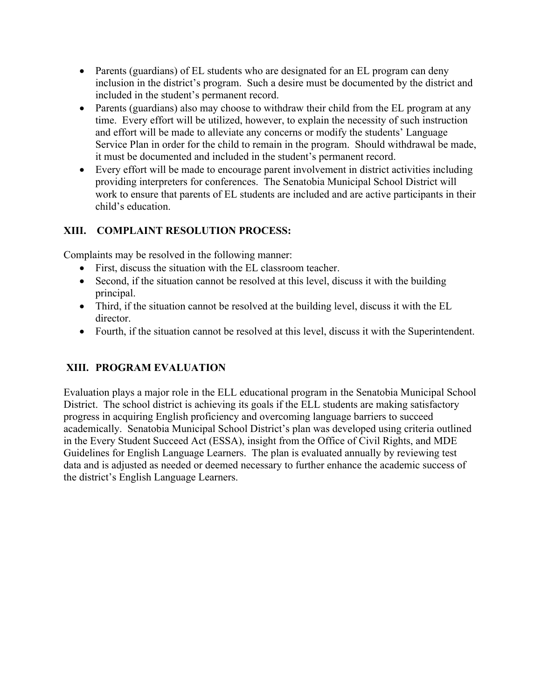- Parents (guardians) of EL students who are designated for an EL program can deny inclusion in the district's program. Such a desire must be documented by the district and included in the student's permanent record.
- Parents (guardians) also may choose to withdraw their child from the EL program at any time. Every effort will be utilized, however, to explain the necessity of such instruction and effort will be made to alleviate any concerns or modify the students' Language Service Plan in order for the child to remain in the program. Should withdrawal be made, it must be documented and included in the student's permanent record.
- Every effort will be made to encourage parent involvement in district activities including providing interpreters for conferences. The Senatobia Municipal School District will work to ensure that parents of EL students are included and are active participants in their child's education.

### **XIII. COMPLAINT RESOLUTION PROCESS:**

Complaints may be resolved in the following manner:

- First, discuss the situation with the EL classroom teacher.
- Second, if the situation cannot be resolved at this level, discuss it with the building principal.
- Third, if the situation cannot be resolved at the building level, discuss it with the EL director.
- Fourth, if the situation cannot be resolved at this level, discuss it with the Superintendent.

### **XIII. PROGRAM EVALUATION**

Evaluation plays a major role in the ELL educational program in the Senatobia Municipal School District. The school district is achieving its goals if the ELL students are making satisfactory progress in acquiring English proficiency and overcoming language barriers to succeed academically. Senatobia Municipal School District's plan was developed using criteria outlined in the Every Student Succeed Act (ESSA), insight from the Office of Civil Rights, and MDE Guidelines for English Language Learners. The plan is evaluated annually by reviewing test data and is adjusted as needed or deemed necessary to further enhance the academic success of the district's English Language Learners.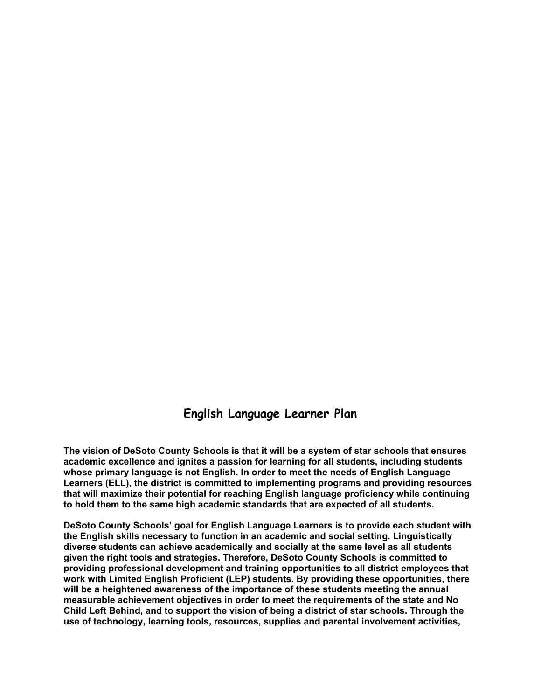### **English Language Learner Plan**

**The vision of DeSoto County Schools is that it will be a system of star schools that ensures academic excellence and ignites a passion for learning for all students, including students whose primary language is not English. In order to meet the needs of English Language Learners (ELL), the district is committed to implementing programs and providing resources that will maximize their potential for reaching English language proficiency while continuing to hold them to the same high academic standards that are expected of all students.**

**DeSoto County Schools' goal for English Language Learners is to provide each student with the English skills necessary to function in an academic and social setting. Linguistically diverse students can achieve academically and socially at the same level as all students given the right tools and strategies. Therefore, DeSoto County Schools is committed to providing professional development and training opportunities to all district employees that work with Limited English Proficient (LEP) students. By providing these opportunities, there will be a heightened awareness of the importance of these students meeting the annual measurable achievement objectives in order to meet the requirements of the state and No Child Left Behind, and to support the vision of being a district of star schools. Through the use of technology, learning tools, resources, supplies and parental involvement activities,**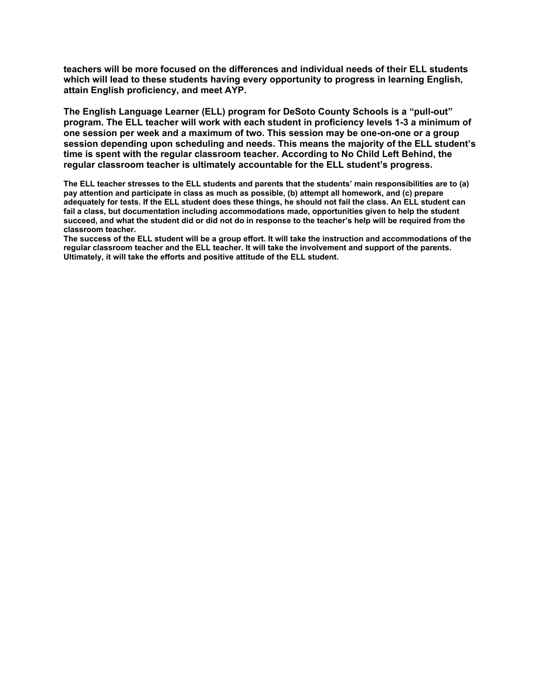**teachers will be more focused on the differences and individual needs of their ELL students which will lead to these students having every opportunity to progress in learning English, attain English proficiency, and meet AYP.**

**The English Language Learner (ELL) program for DeSoto County Schools is a "pull-out" program. The ELL teacher will work with each student in proficiency levels 1-3 a minimum of one session per week and a maximum of two. This session may be one-on-one or a group session depending upon scheduling and needs. This means the majority of the ELL student's time is spent with the regular classroom teacher. According to No Child Left Behind, the regular classroom teacher is ultimately accountable for the ELL student's progress.**

**The ELL teacher stresses to the ELL students and parents that the students' main responsibilities are to (a) pay attention and participate in class as much as possible, (b) attempt all homework, and (c) prepare adequately for tests. If the ELL student does these things, he should not fail the class. An ELL student can fail a class, but documentation including accommodations made, opportunities given to help the student succeed, and what the student did or did not do in response to the teacher's help will be required from the classroom teacher.**

**The success of the ELL student will be a group effort. It will take the instruction and accommodations of the regular classroom teacher and the ELL teacher. It will take the involvement and support of the parents. Ultimately, it will take the efforts and positive attitude of the ELL student.**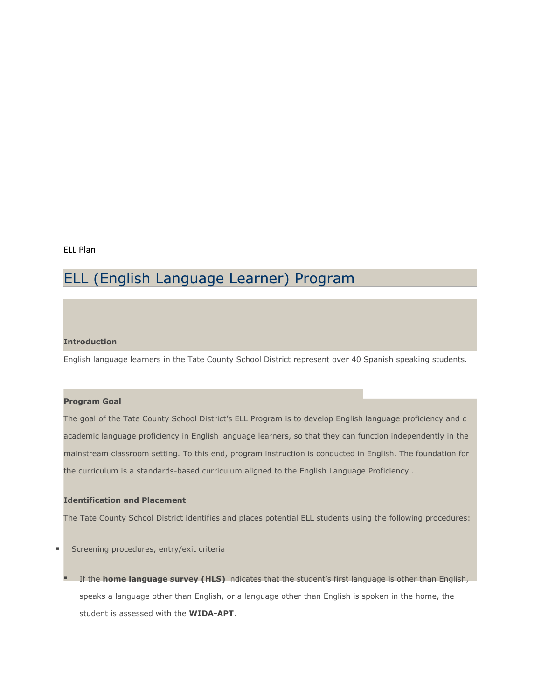#### ELL Plan

# ELL (English Language Learner) Program

#### **Introduction**

English language learners in the Tate County School District represent over 40 Spanish speaking students.

#### **Program Goal**

The goal of the Tate County School District's ELL Program is to develop English language proficiency and c academic language proficiency in English language learners, so that they can function independently in the mainstream classroom setting. To this end, program instruction is conducted in English. The foundation for the curriculum is a standards-based curriculum aligned to the English Language Proficiency .

#### **Identification and Placement**

The Tate County School District identifies and places potential ELL students using the following procedures:

**Screening procedures, entry/exit criterially** 

 If the **home language survey (HLS)** indicates that the student's first language is other than English, speaks a language other than English, or a language other than English is spoken in the home, the student is assessed with the **WIDA-APT**.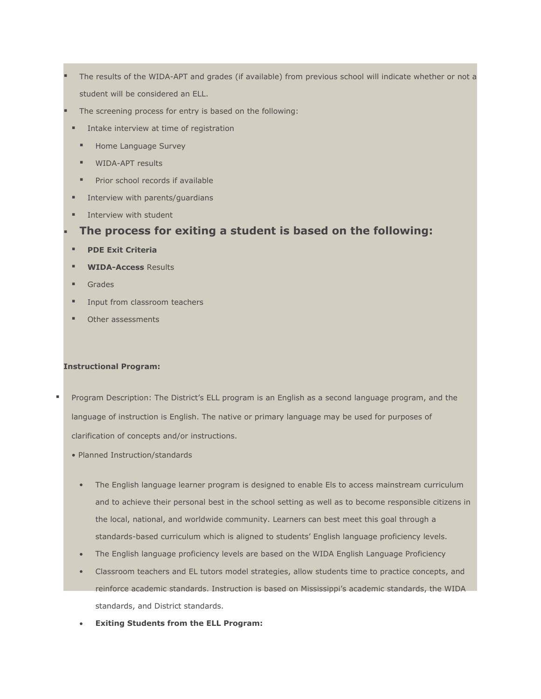- The results of the WIDA-APT and grades (if available) from previous school will indicate whether or not a student will be considered an ELL.
	- The screening process for entry is based on the following:
	- **Intake interview at time of registration** 
		- **Home Language Survey**
		- **WIDA-APT results**
		- **Prior school records if available**
- **Interview with parents/quardians**
- Interview with student

#### **The process for exiting a student is based on the following:**

- **PDE Exit Criteria**
- **WIDA-Access** Results
- **Grades**
- **Input from classroom teachers**
- **•** Other assessments

#### **Instructional Program:**

- Program Description: The District's ELL program is an English as a second language program, and the language of instruction is English. The native or primary language may be used for purposes of clarification of concepts and/or instructions.
	- Planned Instruction/standards
		- The English language learner program is designed to enable Els to access mainstream curriculum and to achieve their personal best in the school setting as well as to become responsible citizens in the local, national, and worldwide community. Learners can best meet this goal through a standards-based curriculum which is aligned to students' English language proficiency levels.
		- The English language proficiency levels are based on the WIDA English Language Proficiency
		- Classroom teachers and EL tutors model strategies, allow students time to practice concepts, and reinforce academic standards. Instruction is based on Mississippi's academic standards, the WIDA standards, and District standards.
		- **Exiting Students from the ELL Program:**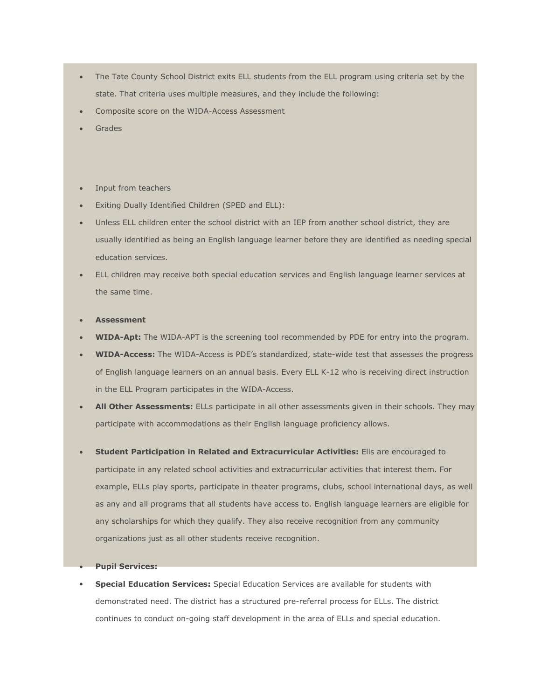- The Tate County School District exits ELL students from the ELL program using criteria set by the state. That criteria uses multiple measures, and they include the following:
- Composite score on the WIDA-Access Assessment
- Grades
- Input from teachers
- Exiting Dually Identified Children (SPED and ELL):
- Unless ELL children enter the school district with an IEP from another school district, they are usually identified as being an English language learner before they are identified as needing special education services.
- ELL children may receive both special education services and English language learner services at the same time.

#### **Assessment**

- **WIDA-Apt:** The WIDA-APT is the screening tool recommended by PDE for entry into the program.
- **WIDA-Access:** The WIDA-Access is PDE's standardized, state-wide test that assesses the progress of English language learners on an annual basis. Every ELL K-12 who is receiving direct instruction in the ELL Program participates in the WIDA-Access.
- **All Other Assessments:** ELLs participate in all other assessments given in their schools. They may participate with accommodations as their English language proficiency allows.
- **Student Participation in Related and Extracurricular Activities:** Ells are encouraged to participate in any related school activities and extracurricular activities that interest them. For example, ELLs play sports, participate in theater programs, clubs, school international days, as well as any and all programs that all students have access to. English language learners are eligible for any scholarships for which they qualify. They also receive recognition from any community organizations just as all other students receive recognition.

**Pupil Services:**

 **Special Education Services:** Special Education Services are available for students with demonstrated need. The district has a structured pre-referral process for ELLs. The district continues to conduct on-going staff development in the area of ELLs and special education.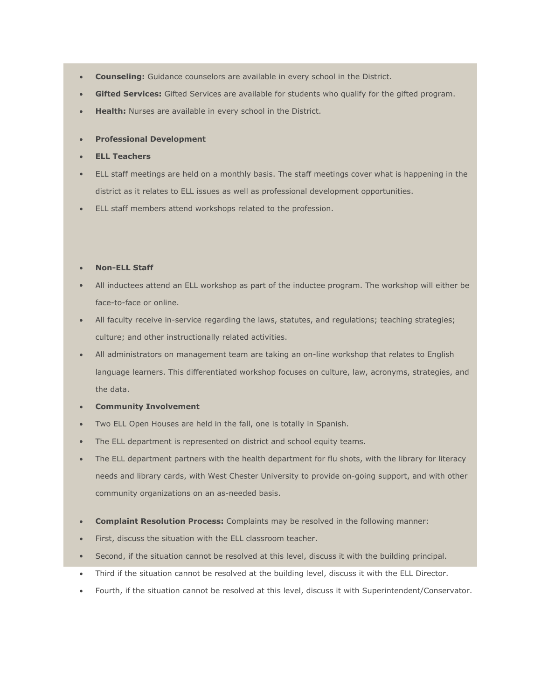- **Counseling:** Guidance counselors are available in every school in the District.
- **Gifted Services:** Gifted Services are available for students who qualify for the gifted program.
- **Health:** Nurses are available in every school in the District.
- **Professional Development**
- **ELL Teachers**
- ELL staff meetings are held on a monthly basis. The staff meetings cover what is happening in the district as it relates to ELL issues as well as professional development opportunities.
- ELL staff members attend workshops related to the profession.

#### **Non-ELL Staff**

- All inductees attend an ELL workshop as part of the inductee program. The workshop will either be face-to-face or online.
- All faculty receive in-service regarding the laws, statutes, and regulations; teaching strategies; culture; and other instructionally related activities.
- All administrators on management team are taking an on-line workshop that relates to English language learners. This differentiated workshop focuses on culture, law, acronyms, strategies, and the data.

#### **Community Involvement**

- Two ELL Open Houses are held in the fall, one is totally in Spanish.
- The ELL department is represented on district and school equity teams.
- The ELL department partners with the health department for flu shots, with the library for literacy needs and library cards, with West Chester University to provide on-going support, and with other community organizations on an as-needed basis.
- **Complaint Resolution Process:** Complaints may be resolved in the following manner:
- First, discuss the situation with the ELL classroom teacher.
- Second, if the situation cannot be resolved at this level, discuss it with the building principal.
- Third if the situation cannot be resolved at the building level, discuss it with the ELL Director.
- Fourth, if the situation cannot be resolved at this level, discuss it with Superintendent/Conservator.